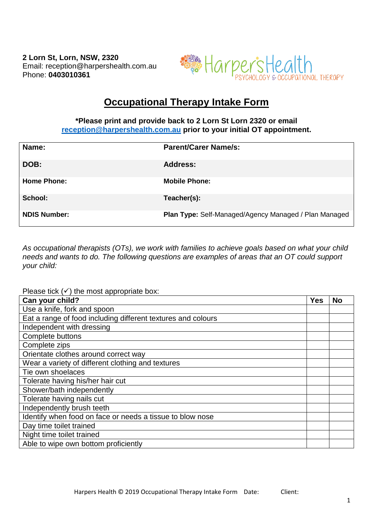**2 Lorn St, Lorn, NSW, 2320** Email: reception@harpershealth.com.au Phone: **0403010361**



## **Occupational Therapy Intake Form**

## **\*Please print and provide back to 2 Lorn St Lorn 2320 or email [reception@harpershealth.com.au](mailto:reception@harpershealth.com.au) prior to your initial OT appointment.**

| Name:               | <b>Parent/Carer Name/s:</b>                                  |
|---------------------|--------------------------------------------------------------|
| DOB:                | <b>Address:</b>                                              |
| <b>Home Phone:</b>  | <b>Mobile Phone:</b>                                         |
| School:             | Teacher(s):                                                  |
| <b>NDIS Number:</b> | <b>Plan Type: Self-Managed/Agency Managed / Plan Managed</b> |

*As occupational therapists (OTs), we work with families to achieve goals based on what your child needs and wants to do. The following questions are examples of areas that an OT could support your child:*

Please tick (✓) the most appropriate box:

| $\frac{1}{2}$ , $\frac{1}{2}$ , $\frac{1}{2}$ , $\frac{1}{2}$ , $\frac{1}{2}$ , $\frac{1}{2}$ , $\frac{1}{2}$<br>Can your child? | <b>Yes</b> | <b>No</b> |
|----------------------------------------------------------------------------------------------------------------------------------|------------|-----------|
| Use a knife, fork and spoon                                                                                                      |            |           |
| Eat a range of food including different textures and colours                                                                     |            |           |
| Independent with dressing                                                                                                        |            |           |
| Complete buttons                                                                                                                 |            |           |
| Complete zips                                                                                                                    |            |           |
| Orientate clothes around correct way                                                                                             |            |           |
| Wear a variety of different clothing and textures                                                                                |            |           |
| Tie own shoelaces                                                                                                                |            |           |
| Tolerate having his/her hair cut                                                                                                 |            |           |
| Shower/bath independently                                                                                                        |            |           |
| Tolerate having nails cut                                                                                                        |            |           |
| Independently brush teeth                                                                                                        |            |           |
| Identify when food on face or needs a tissue to blow nose                                                                        |            |           |
| Day time toilet trained                                                                                                          |            |           |
| Night time toilet trained                                                                                                        |            |           |
| Able to wipe own bottom proficiently                                                                                             |            |           |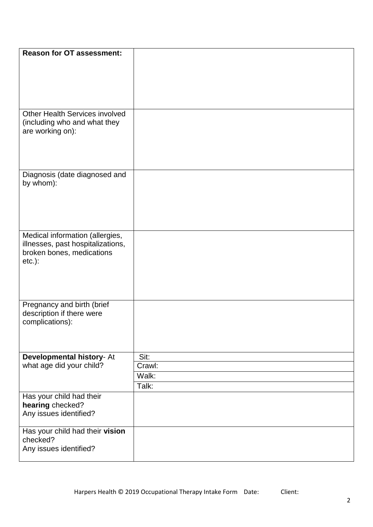| <b>Reason for OT assessment:</b>           |        |
|--------------------------------------------|--------|
|                                            |        |
|                                            |        |
|                                            |        |
|                                            |        |
|                                            |        |
|                                            |        |
| <b>Other Health Services involved</b>      |        |
| (including who and what they               |        |
| are working on):                           |        |
|                                            |        |
|                                            |        |
|                                            |        |
|                                            |        |
| Diagnosis (date diagnosed and<br>by whom): |        |
|                                            |        |
|                                            |        |
|                                            |        |
|                                            |        |
|                                            |        |
| Medical information (allergies,            |        |
| illnesses, past hospitalizations,          |        |
| broken bones, medications                  |        |
| $etc.$ ):                                  |        |
|                                            |        |
|                                            |        |
|                                            |        |
|                                            |        |
| Pregnancy and birth (brief                 |        |
| description if there were                  |        |
| complications):                            |        |
|                                            |        |
|                                            |        |
| Developmental history- At                  | Sit:   |
| what age did your child?                   | Crawl: |
|                                            | Walk:  |
|                                            | Talk:  |
| Has your child had their                   |        |
| hearing checked?                           |        |
| Any issues identified?                     |        |
|                                            |        |
| Has your child had their vision            |        |
| checked?                                   |        |
| Any issues identified?                     |        |
|                                            |        |